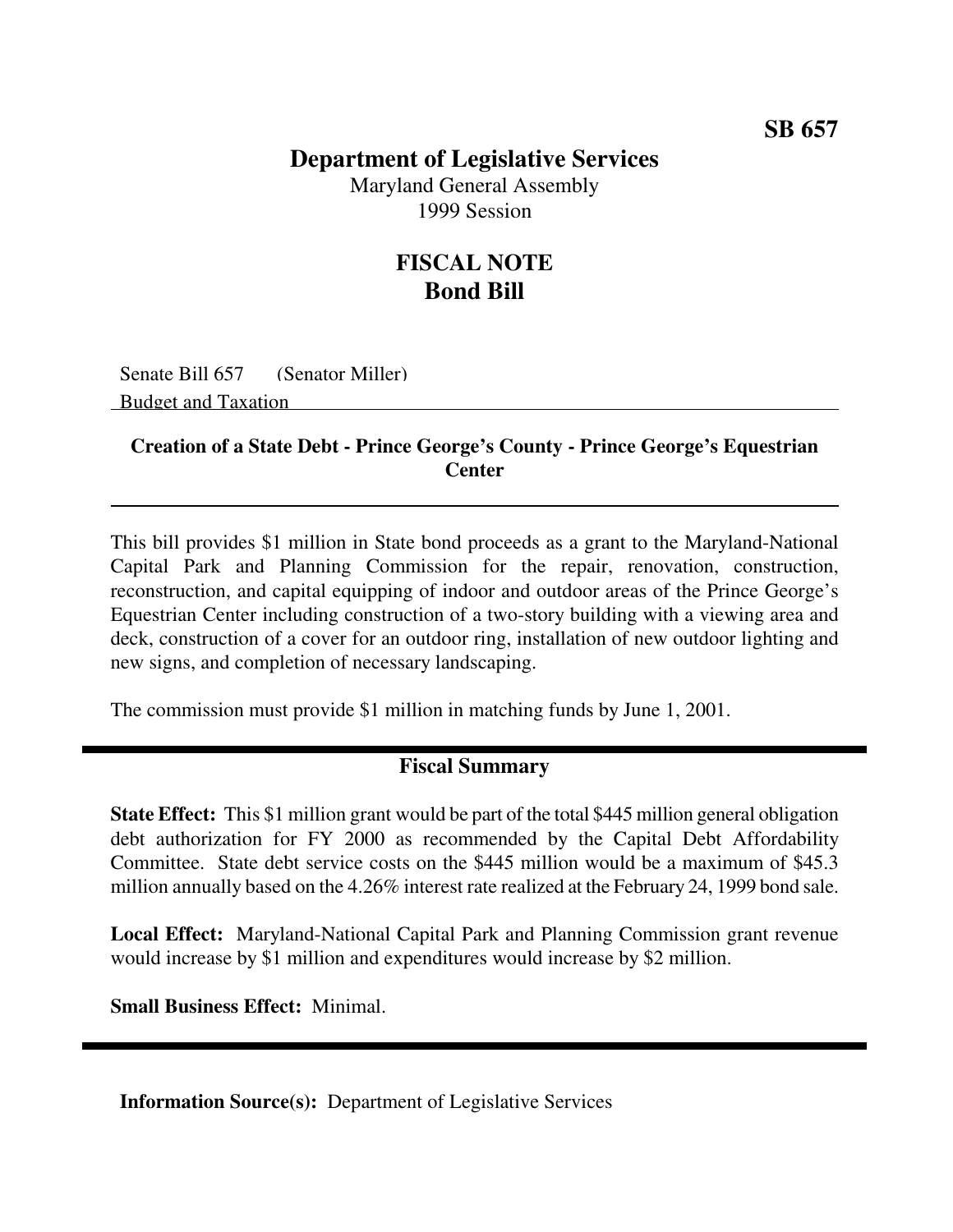### **SB 657**

## **Department of Legislative Services**

Maryland General Assembly 1999 Session

# **FISCAL NOTE Bond Bill**

Senate Bill 657 (Senator Miller) Budget and Taxation

#### **Creation of a State Debt - Prince George's County - Prince George's Equestrian Center**

This bill provides \$1 million in State bond proceeds as a grant to the Maryland-National Capital Park and Planning Commission for the repair, renovation, construction, reconstruction, and capital equipping of indoor and outdoor areas of the Prince George's Equestrian Center including construction of a two-story building with a viewing area and deck, construction of a cover for an outdoor ring, installation of new outdoor lighting and new signs, and completion of necessary landscaping.

The commission must provide \$1 million in matching funds by June 1, 2001.

### **Fiscal Summary**

**State Effect:** This \$1 million grant would be part of the total \$445 million general obligation debt authorization for FY 2000 as recommended by the Capital Debt Affordability Committee. State debt service costs on the \$445 million would be a maximum of \$45.3 million annually based on the 4.26% interest rate realized at the February 24, 1999 bond sale.

**Local Effect:** Maryland-National Capital Park and Planning Commission grant revenue would increase by \$1 million and expenditures would increase by \$2 million.

**Small Business Effect:** Minimal.

**Information Source(s):** Department of Legislative Services